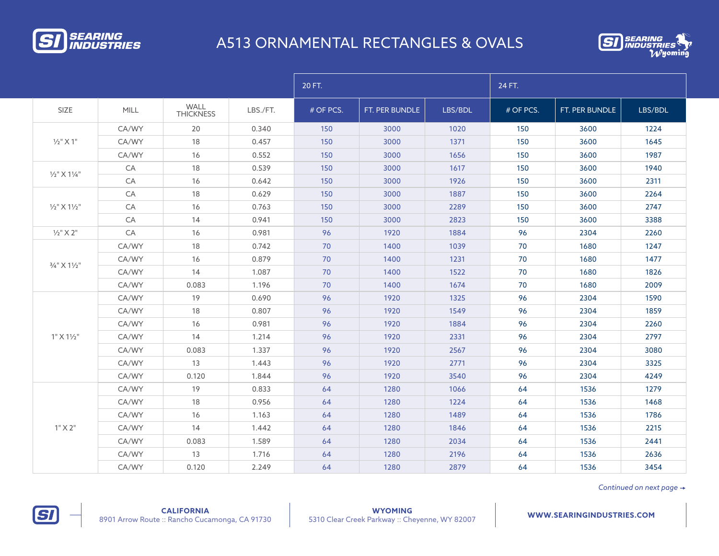

## A513 ORNAMENTAL RECTANGLES & OVALS



|                                                                                                                                    |       |                          |          | 20 FT.    |                |         | 24 FT.                                                                                                                                                                                                                                                                                                                                                                                                                                                                                                                                                           |                |         |
|------------------------------------------------------------------------------------------------------------------------------------|-------|--------------------------|----------|-----------|----------------|---------|------------------------------------------------------------------------------------------------------------------------------------------------------------------------------------------------------------------------------------------------------------------------------------------------------------------------------------------------------------------------------------------------------------------------------------------------------------------------------------------------------------------------------------------------------------------|----------------|---------|
| SIZE                                                                                                                               | MILL  | WALL<br><b>THICKNESS</b> | LBS./FT. | # OF PCS. | FT. PER BUNDLE | LBS/BDL | # OF PCS.                                                                                                                                                                                                                                                                                                                                                                                                                                                                                                                                                        | FT. PER BUNDLE | LBS/BDL |
|                                                                                                                                    | CA/WY | 20                       | 0.340    | 150       | 3000           | 1020    | 150                                                                                                                                                                                                                                                                                                                                                                                                                                                                                                                                                              | 3600           | 1224    |
| $1/2$ " $\times$ 1"                                                                                                                | CA/WY | 18                       | 0.457    | 150       | 3000           | 1371    | 150                                                                                                                                                                                                                                                                                                                                                                                                                                                                                                                                                              | 3600           | 1645    |
|                                                                                                                                    | CA/WY | 16                       | 0.552    | 150       | 3000           | 1656    | 150<br>3600<br>1617<br>150<br>3600<br>150<br>3600<br>1926<br>1887<br>150<br>3600<br>150<br>2289<br>3600<br>150<br>3600<br>2823<br>1884<br>96<br>2304<br>70<br>1039<br>1680<br>70<br>1231<br>1680<br>70<br>1522<br>1680<br>1674<br>70<br>1680<br>96<br>2304<br>1325<br>1549<br>96<br>2304<br>96<br>1884<br>2304<br>96<br>2331<br>2304<br>96<br>2567<br>2304<br>96<br>2771<br>2304<br>96<br>3540<br>2304<br>64<br>1536<br>1066<br>1224<br>64<br>1536<br>64<br>1536<br>1489<br>64<br>1536<br>1846<br>64<br>1536<br>2034<br>2196<br>64<br>1536<br>2879<br>1536<br>64 | 1987           |         |
|                                                                                                                                    | CA    | 18                       | 0.539    | 150       | 3000           |         |                                                                                                                                                                                                                                                                                                                                                                                                                                                                                                                                                                  |                | 1940    |
| $1/2$ " $\times$ $11/4$ "<br>$1/2$ " $X$ $11/2$ "<br>$1/2$ " $\times$ 2"<br>3/4" X 11/2"<br>1" X 1 <sup>1</sup> /2"<br>$1"$ X $2"$ | CA    | 16                       | 0.642    | 150       | 3000           |         |                                                                                                                                                                                                                                                                                                                                                                                                                                                                                                                                                                  |                | 2311    |
|                                                                                                                                    | CA    | 18                       | 0.629    | 150       | 3000           |         |                                                                                                                                                                                                                                                                                                                                                                                                                                                                                                                                                                  |                | 2264    |
|                                                                                                                                    | CA    | 16                       | 0.763    | 150       | 3000           |         |                                                                                                                                                                                                                                                                                                                                                                                                                                                                                                                                                                  |                | 2747    |
|                                                                                                                                    | CA    | 14                       | 0.941    | 150       | 3000           |         |                                                                                                                                                                                                                                                                                                                                                                                                                                                                                                                                                                  |                | 3388    |
|                                                                                                                                    | CA    | 16                       | 0.981    | 96        | 1920           |         |                                                                                                                                                                                                                                                                                                                                                                                                                                                                                                                                                                  |                | 2260    |
|                                                                                                                                    | CA/WY | 18                       | 0.742    | 70        | 1400           |         |                                                                                                                                                                                                                                                                                                                                                                                                                                                                                                                                                                  |                | 1247    |
|                                                                                                                                    | CA/WY | 16                       | 0.879    | 70        | 1400           |         |                                                                                                                                                                                                                                                                                                                                                                                                                                                                                                                                                                  |                | 1477    |
|                                                                                                                                    | CA/WY | 14                       | 1.087    | 70        | 1400           |         |                                                                                                                                                                                                                                                                                                                                                                                                                                                                                                                                                                  |                | 1826    |
|                                                                                                                                    | CA/WY | 0.083                    | 1.196    | 70        | 1400           |         |                                                                                                                                                                                                                                                                                                                                                                                                                                                                                                                                                                  |                | 2009    |
|                                                                                                                                    | CA/WY | 19                       | 0.690    | 96        | 1920           |         |                                                                                                                                                                                                                                                                                                                                                                                                                                                                                                                                                                  |                | 1590    |
|                                                                                                                                    | CA/WY | 18                       | 0.807    | 96        | 1920           |         |                                                                                                                                                                                                                                                                                                                                                                                                                                                                                                                                                                  |                | 1859    |
|                                                                                                                                    | CA/WY | 16                       | 0.981    | 96        | 1920           |         |                                                                                                                                                                                                                                                                                                                                                                                                                                                                                                                                                                  |                | 2260    |
|                                                                                                                                    | CA/WY | 14                       | 1.214    | 96        | 1920           |         |                                                                                                                                                                                                                                                                                                                                                                                                                                                                                                                                                                  |                | 2797    |
|                                                                                                                                    | CA/WY | 0.083                    | 1.337    | 96        | 1920           |         |                                                                                                                                                                                                                                                                                                                                                                                                                                                                                                                                                                  |                | 3080    |
|                                                                                                                                    | CA/WY | 13                       | 1.443    | 96        | 1920           |         |                                                                                                                                                                                                                                                                                                                                                                                                                                                                                                                                                                  |                | 3325    |
|                                                                                                                                    | CA/WY | 0.120                    | 1.844    | 96        | 1920           |         |                                                                                                                                                                                                                                                                                                                                                                                                                                                                                                                                                                  |                | 4249    |
|                                                                                                                                    | CA/WY | 19                       | 0.833    | 64        | 1280           |         |                                                                                                                                                                                                                                                                                                                                                                                                                                                                                                                                                                  |                | 1279    |
|                                                                                                                                    | CA/WY | 18                       | 0.956    | 64        | 1280           |         |                                                                                                                                                                                                                                                                                                                                                                                                                                                                                                                                                                  |                | 1468    |
|                                                                                                                                    | CA/WY | 16                       | 1.163    | 64        | 1280           |         |                                                                                                                                                                                                                                                                                                                                                                                                                                                                                                                                                                  |                | 1786    |
|                                                                                                                                    | CA/WY | 14                       | 1.442    | 64        | 1280           |         |                                                                                                                                                                                                                                                                                                                                                                                                                                                                                                                                                                  |                | 2215    |
|                                                                                                                                    | CA/WY | 0.083                    | 1.589    | 64        | 1280           |         |                                                                                                                                                                                                                                                                                                                                                                                                                                                                                                                                                                  |                | 2441    |
|                                                                                                                                    | CA/WY | 13                       | 1.716    | 64        | 1280           |         |                                                                                                                                                                                                                                                                                                                                                                                                                                                                                                                                                                  |                | 2636    |
|                                                                                                                                    | CA/WY | 0.120                    | 2.249    | 64        | 1280           |         |                                                                                                                                                                                                                                                                                                                                                                                                                                                                                                                                                                  |                | 3454    |

*Continued on next page* 

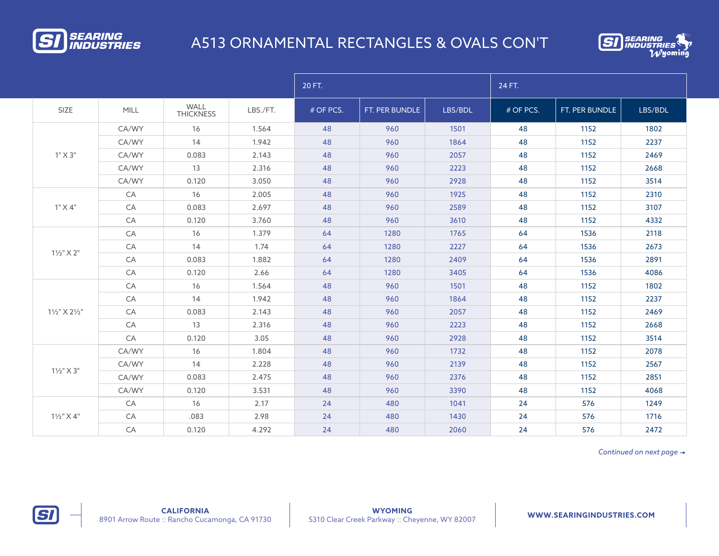

## A513 ORNAMENTAL RECTANGLES & OVALS CON'T



|                       |             |                          |          | 20 FT.    |                |         | 24 FT.    |                |         |
|-----------------------|-------------|--------------------------|----------|-----------|----------------|---------|-----------|----------------|---------|
| SIZE                  | <b>MILL</b> | WALL<br><b>THICKNESS</b> | LBS./FT. | # OF PCS. | FT. PER BUNDLE | LBS/BDL | # OF PCS. | FT. PER BUNDLE | LBS/BDL |
| $1"$ X 3"             | CA/WY       | 16                       | 1.564    | 48        | 960            | 1501    | 48        | 1152           | 1802    |
|                       | CA/WY       | 14                       | 1.942    | 48        | 960            | 1864    | 48        | 1152           | 2237    |
|                       | CA/WY       | 0.083                    | 2.143    | 48        | 960            | 2057    | 48        | 1152           | 2469    |
|                       | CA/WY       | 13                       | 2.316    | 48        | 960            | 2223    | 48        | 1152           | 2668    |
|                       | CA/WY       | 0.120                    | 3.050    | 48        | 960            | 2928    | 48        | 1152           | 3514    |
|                       | CA          | 16                       | 2.005    | 48        | 960            | 1925    | 48        | 1152           | 2310    |
| $1"$ X $4"$           | CA          | 0.083                    | 2.697    | 48        | 960            | 2589    | 48        | 1152           | 3107    |
|                       | CA          | 0.120                    | 3.760    | 48        | 960            | 3610    | 48        | 1152           | 4332    |
|                       | CA          | 16                       | 1.379    | 64        | 1280           | 1765    | 64        | 1536           | 2118    |
|                       | CA          | 14                       | 1.74     | 64        | 1280           | 2227    | 64        | 1536           | 2673    |
| $1\frac{1}{2}$ " X 2" | CA          | 0.083                    | 1.882    | 64        | 1280           | 2409    | 64        | 1536           | 2891    |
|                       | CA          | 0.120                    | 2.66     | 64        | 1280           | 3405    | 64        | 1536           | 4086    |
|                       | CA          | 16                       | 1.564    | 48        | 960            | 1501    | 48        | 1152           | 1802    |
|                       | CA          | 14                       | 1.942    | 48        | 960            | 1864    | 48        | 1152           | 2237    |
| 11/2" X 21/2"         | CA          | 0.083                    | 2.143    | 48        | 960            | 2057    | 48        | 1152           | 2469    |
|                       | CA          | 13                       | 2.316    | 48        | 960            | 2223    | 48        | 1152           | 2668    |
|                       | CA          | 0.120                    | 3.05     | 48        | 960            | 2928    | 48        | 1152           | 3514    |
| $1\frac{1}{2}$ " X 3" | CA/WY       | 16                       | 1.804    | 48        | 960            | 1732    | 48        | 1152           | 2078    |
|                       | CA/WY       | 14                       | 2.228    | 48        | 960            | 2139    | 48        | 1152           | 2567    |
|                       | CA/WY       | 0.083                    | 2.475    | 48        | 960            | 2376    | 48        | 1152           | 2851    |
|                       | CA/WY       | 0.120                    | 3.531    | 48        | 960            | 3390    | 48        | 1152           | 4068    |
|                       | CA          | 16                       | 2.17     | 24        | 480            | 1041    | 24        | 576            | 1249    |
| $1\frac{1}{2}$ " X 4" | CA          | .083                     | 2.98     | 24        | 480            | 1430    | 24        | 576            | 1716    |
|                       | CA          | 0.120                    | 4.292    | 24        | 480            | 2060    | 24        | 576            | 2472    |

*Continued on next page*